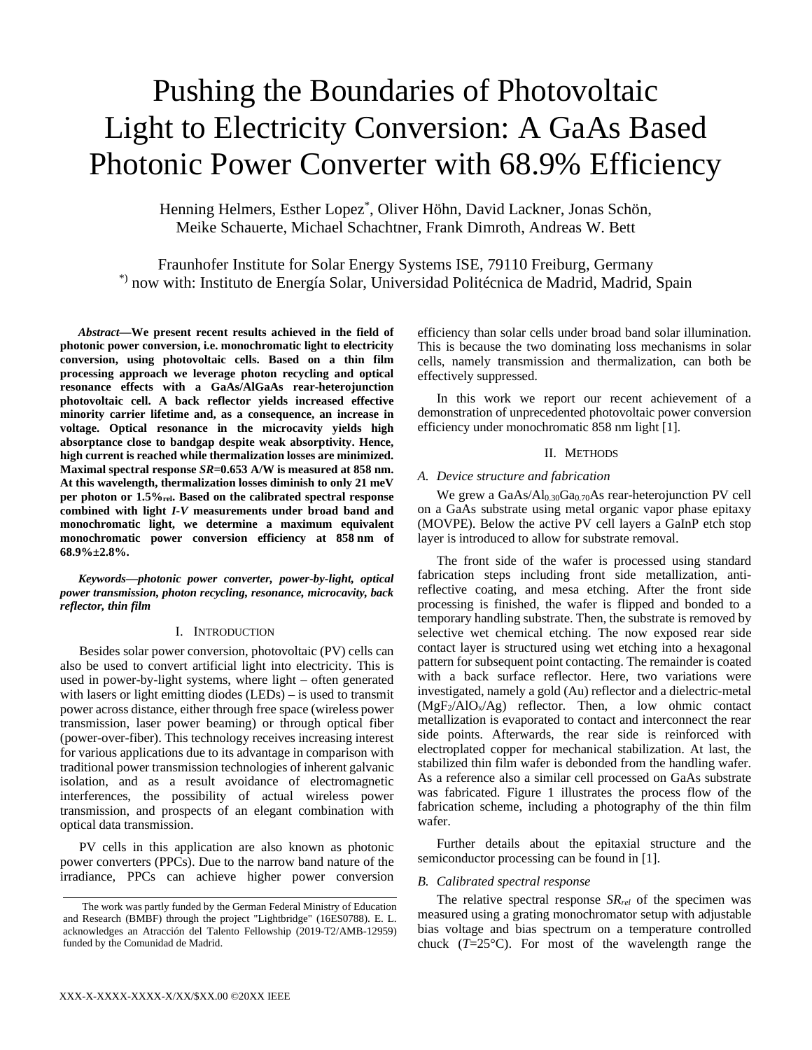# Pushing the Boundaries of Photovoltaic Light to Electricity Conversion: A GaAs Based Photonic Power Converter with 68.9% Efficiency

Henning Helmers, Esther Lopez\* , Oliver Höhn, David Lackner, Jonas Schön, Meike Schauerte, Michael Schachtner, Frank Dimroth, Andreas W. Bett

Fraunhofer Institute for Solar Energy Systems ISE, 79110 Freiburg, Germany \*) now with: Instituto de Energía Solar, Universidad Politécnica de Madrid, Madrid, Spain

*Abstract***—We present recent results achieved in the field of photonic power conversion, i.e. monochromatic light to electricity conversion, using photovoltaic cells. Based on a thin film processing approach we leverage photon recycling and optical resonance effects with a GaAs/AlGaAs rear-heterojunction photovoltaic cell. A back reflector yields increased effective minority carrier lifetime and, as a consequence, an increase in voltage. Optical resonance in the microcavity yields high absorptance close to bandgap despite weak absorptivity. Hence, high current is reached while thermalization losses are minimized. Maximal spectral response** *SR***=0.653 A/W is measured at 858 nm. At this wavelength, thermalization losses diminish to only 21 meV per photon or 1.5%rel. Based on the calibrated spectral response combined with light** *I-V* **measurements under broad band and monochromatic light, we determine a maximum equivalent monochromatic power conversion efficiency at 858 nm of 68.9%±2.8%.** 

*Keywords—photonic power converter, power-by-light, optical power transmission, photon recycling, resonance, microcavity, back reflector, thin film*

# I. INTRODUCTION

Besides solar power conversion, photovoltaic (PV) cells can also be used to convert artificial light into electricity. This is used in power-by-light systems, where light – often generated with lasers or light emitting diodes (LEDs) – is used to transmit power across distance, either through free space (wireless power transmission, laser power beaming) or through optical fiber (power-over-fiber). This technology receives increasing interest for various applications due to its advantage in comparison with traditional power transmission technologies of inherent galvanic isolation, and as a result avoidance of electromagnetic interferences, the possibility of actual wireless power transmission, and prospects of an elegant combination with optical data transmission.

PV cells in this application are also known as photonic power converters (PPCs). Due to the narrow band nature of the irradiance, PPCs can achieve higher power conversion efficiency than solar cells under broad band solar illumination. This is because the two dominating loss mechanisms in solar cells, namely transmission and thermalization, can both be effectively suppressed.

In this work we report our recent achievement of a demonstration of unprecedented photovoltaic power conversion efficiency under monochromatic 858 nm light [1].

# II. METHODS

#### *A. Device structure and fabrication*

We grew a GaAs/Al<sub>0.30</sub>Ga<sub>0.70</sub>As rear-heterojunction PV cell on a GaAs substrate using metal organic vapor phase epitaxy (MOVPE). Below the active PV cell layers a GaInP etch stop layer is introduced to allow for substrate removal.

The front side of the wafer is processed using standard fabrication steps including front side metallization, antireflective coating, and mesa etching. After the front side processing is finished, the wafer is flipped and bonded to a temporary handling substrate. Then, the substrate is removed by selective wet chemical etching. The now exposed rear side contact layer is structured using wet etching into a hexagonal pattern for subsequent point contacting. The remainder is coated with a back surface reflector. Here, two variations were investigated, namely a gold (Au) reflector and a dielectric-metal  $(MgF<sub>2</sub>/AlO<sub>x</sub>/Ag)$  reflector. Then, a low ohmic contact metallization is evaporated to contact and interconnect the rear side points. Afterwards, the rear side is reinforced with electroplated copper for mechanical stabilization. At last, the stabilized thin film wafer is debonded from the handling wafer. As a reference also a similar cell processed on GaAs substrate was fabricated. Figure 1 illustrates the process flow of the fabrication scheme, including a photography of the thin film wafer.

Further details about the epitaxial structure and the semiconductor processing can be found in [1].

## *B. Calibrated spectral response*

The relative spectral response *SRrel* of the specimen was measured using a grating monochromator setup with adjustable bias voltage and bias spectrum on a temperature controlled chuck  $(T=25^{\circ}C)$ . For most of the wavelength range the

The work was partly funded by the German Federal Ministry of Education and Research (BMBF) through the project "Lightbridge" (16ES0788). E. L. acknowledges an Atracción del Talento Fellowship (2019-T2/AMB-12959) funded by the Comunidad de Madrid.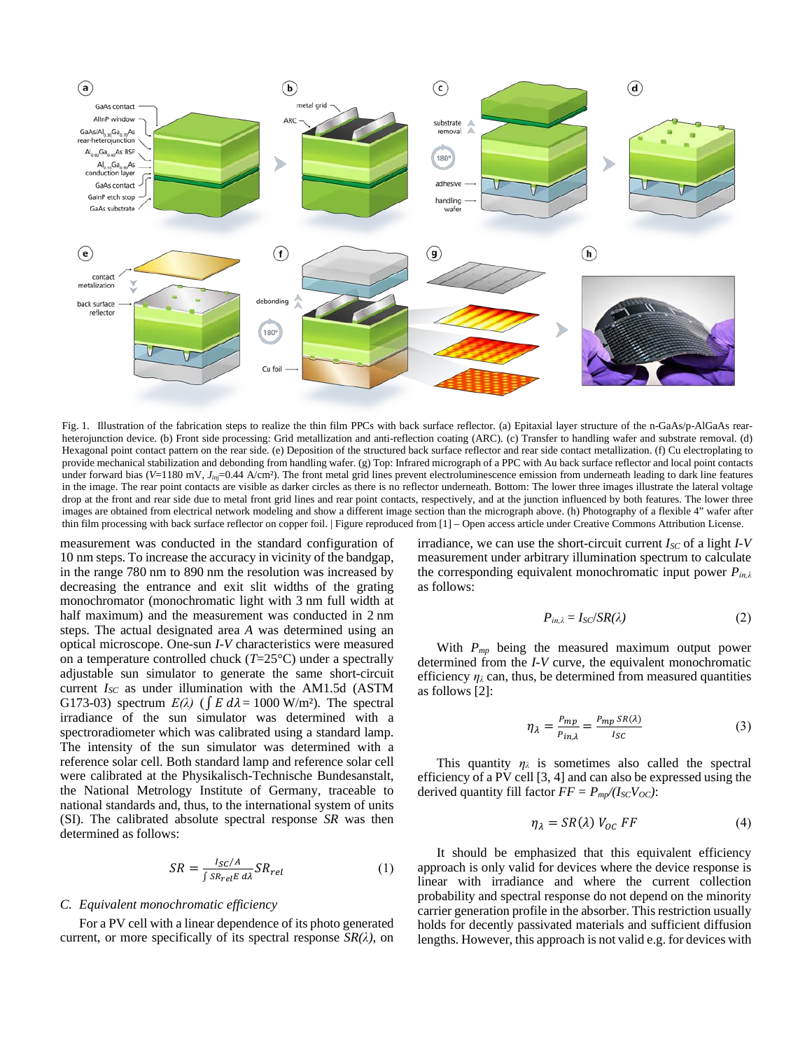

Fig. 1. Illustration of the fabrication steps to realize the thin film PPCs with back surface reflector. (a) Epitaxial layer structure of the n-GaAs/p-AlGaAs rearheterojunction device. (b) Front side processing: Grid metallization and anti-reflection coating (ARC). (c) Transfer to handling wafer and substrate removal. (d) Hexagonal point contact pattern on the rear side. (e) Deposition of the structured back surface reflector and rear side contact metallization. (f) Cu electroplating to provide mechanical stabilization and debonding from handling wafer. (g) Top: Infrared micrograph of a PPC with Au back surface reflector and local point contacts under forward bias (*V*=1180 mV, *J<sub>inj</sub>*=0.44 A/cm<sup>2</sup>). The front metal grid lines prevent electroluminescence emission from underneath leading to dark line features in the image. The rear point contacts are visible as darker circles as there is no reflector underneath. Bottom: The lower three images illustrate the lateral voltage drop at the front and rear side due to metal front grid lines and rear point contacts, respectively, and at the junction influenced by both features. The lower three images are obtained from electrical network modeling and show a different image section than the micrograph above. (h) Photography of a flexible 4" wafer after thin film processing with back surface reflector on copper foil. | Figure reproduced from [1] – Open access article under Creative Commons Attribution License.

measurement was conducted in the standard configuration of 10 nm steps. To increase the accuracy in vicinity of the bandgap, in the range 780 nm to 890 nm the resolution was increased by decreasing the entrance and exit slit widths of the grating monochromator (monochromatic light with 3 nm full width at half maximum) and the measurement was conducted in 2 nm steps. The actual designated area *A* was determined using an optical microscope. One-sun *I-V* characteristics were measured on a temperature controlled chuck (*T*=25°C) under a spectrally adjustable sun simulator to generate the same short-circuit current *ISC* as under illumination with the AM1.5d (ASTM G173-03) spectrum  $E(\lambda)$  ( $\int E d\lambda = 1000$  W/m<sup>2</sup>). The spectral irradiance of the sun simulator was determined with a spectroradiometer which was calibrated using a standard lamp. The intensity of the sun simulator was determined with a reference solar cell. Both standard lamp and reference solar cell were calibrated at the Physikalisch-Technische Bundesanstalt, the National Metrology Institute of Germany, traceable to national standards and, thus, to the international system of units (SI). The calibrated absolute spectral response *SR* was then determined as follows:

$$
SR = \frac{I_{SC}/A}{\int SR_{rel} E \, d\lambda} SR_{rel} \tag{1}
$$

# *C. Equivalent monochromatic efficiency*

For a PV cell with a linear dependence of its photo generated current, or more specifically of its spectral response  $SR(\lambda)$ , on irradiance, we can use the short-circuit current  $I_{SC}$  of a light  $I-V$ measurement under arbitrary illumination spectrum to calculate the corresponding equivalent monochromatic input power *Pin,λ* as follows:

$$
P_{in,\lambda} = I_{SC}/SR(\lambda) \tag{2}
$$

With *Pmp* being the measured maximum output power determined from the *I-V* curve, the equivalent monochromatic efficiency  $\eta_{\lambda}$  can, thus, be determined from measured quantities as follows [2]:

$$
\eta_{\lambda} = \frac{P_{mp}}{P_{in,\lambda}} = \frac{P_{mp} SR(\lambda)}{I_{SC}}
$$
(3)

This quantity  $\eta_{\lambda}$  is sometimes also called the spectral efficiency of a PV cell [3, 4] and can also be expressed using the derived quantity fill factor  $FF = P_{mp}/(I_{SC}V_{OC})$ :

$$
\eta_{\lambda} = SR(\lambda) V_{OC} FF \tag{4}
$$

It should be emphasized that this equivalent efficiency approach is only valid for devices where the device response is linear with irradiance and where the current collection probability and spectral response do not depend on the minority carrier generation profile in the absorber. This restriction usually holds for decently passivated materials and sufficient diffusion lengths. However, this approach is not valid e.g. for devices with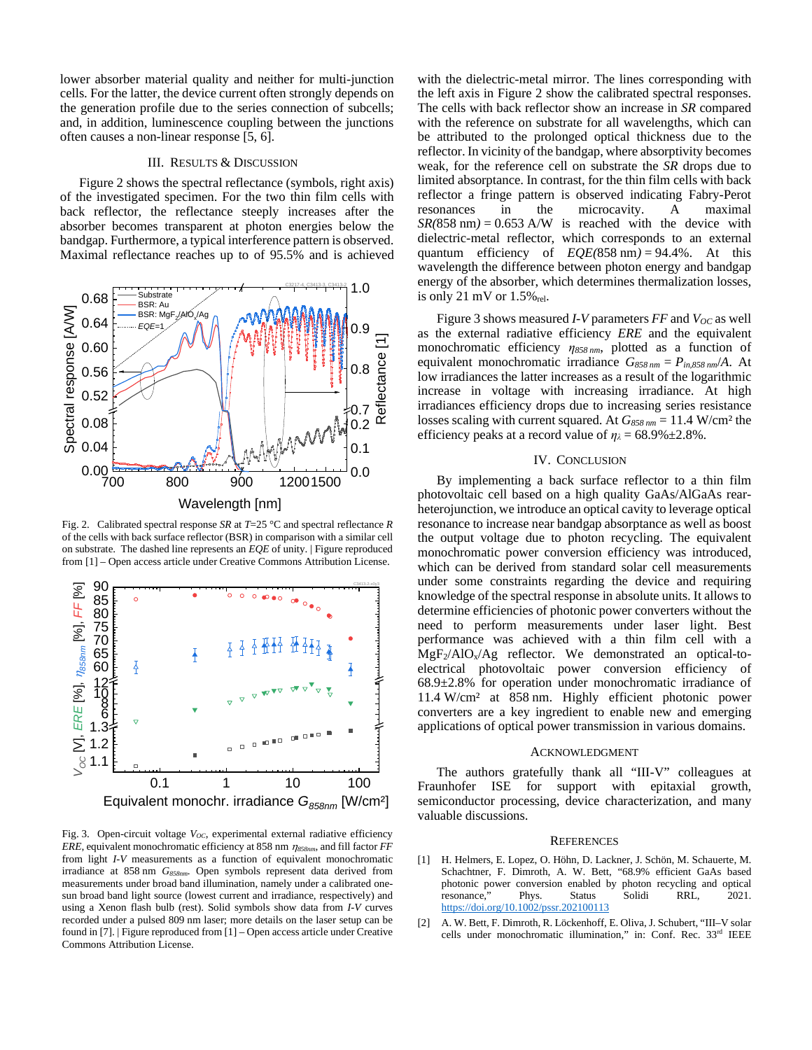lower absorber material quality and neither for multi-junction cells. For the latter, the device current often strongly depends on the generation profile due to the series connection of subcells; and, in addition, luminescence coupling between the junctions often causes a non-linear response [5, 6].

## III. RESULTS & DISCUSSION

Figure 2 shows the spectral reflectance (symbols, right axis) of the investigated specimen. For the two thin film cells with back reflector, the reflectance steeply increases after the absorber becomes transparent at photon energies below the bandgap. Furthermore, a typical interference pattern is observed. Maximal reflectance reaches up to of 95.5% and is achieved



Fig. 2. Calibrated spectral response *SR* at *T*=25 °C and spectral reflectance *R* of the cells with back surface reflector (BSR) in comparison with a similar cell on substrate. The dashed line represents an *EQE* of unity. | Figure reproduced from [1] – Open access article under Creative Commons Attribution License.



Fig. 3. Open-circuit voltage  $V_{OC}$ , experimental external radiative efficiency *ERE*, equivalent monochromatic efficiency at 858 nm <sup>η</sup>*858nm*, and fill factor *FF* from light *I-V* measurements as a function of equivalent monochromatic irradiance at 858 nm *G<sub>858nm</sub>*. Open symbols represent data derived from measurements under broad band illumination, namely under a calibrated onesun broad band light source (lowest current and irradiance, respectively) and using a Xenon flash bulb (rest). Solid symbols show data from *I-V* curves recorded under a pulsed 809 nm laser; more details on the laser setup can be found in [7]. | Figure reproduced from [1] – Open access article under Creative Commons Attribution License.

with the dielectric-metal mirror. The lines corresponding with the left axis in Figure 2 show the calibrated spectral responses. The cells with back reflector show an increase in *SR* compared with the reference on substrate for all wavelengths, which can be attributed to the prolonged optical thickness due to the reflector. In vicinity of the bandgap, where absorptivity becomes weak, for the reference cell on substrate the *SR* drops due to limited absorptance. In contrast, for the thin film cells with back reflector a fringe pattern is observed indicating Fabry-Perot resonances in the microcavity. A maximal  $SR(858 \text{ nm}) = 0.653 \text{ A/W}$  is reached with the device with dielectric-metal reflector, which corresponds to an external quantum efficiency of *EQE(*858 nm*)* = 94.4%. At this wavelength the difference between photon energy and bandgap energy of the absorber, which determines thermalization losses, is only 21 mV or  $1.5\%$ <sub>rel</sub>.

Figure 3 shows measured *I-V* parameters *FF* and *V<sub>OC</sub>* as well as the external radiative efficiency *ERE* and the equivalent monochromatic efficiency *η<sup>858</sup> nm*, plotted as a function of equivalent monochromatic irradiance  $G_{858 \, nm} = P_{in,858 \, nm}/A$ . At low irradiances the latter increases as a result of the logarithmic increase in voltage with increasing irradiance. At high irradiances efficiency drops due to increasing series resistance losses scaling with current squared. At *G858 nm* = 11.4 W/cm² the efficiency peaks at a record value of  $\eta_{\lambda} = 68.9\% \pm 2.8\%$ .

# IV. CONCLUSION

By implementing a back surface reflector to a thin film photovoltaic cell based on a high quality GaAs/AlGaAs rearheterojunction, we introduce an optical cavity to leverage optical resonance to increase near bandgap absorptance as well as boost the output voltage due to photon recycling. The equivalent monochromatic power conversion efficiency was introduced, which can be derived from standard solar cell measurements under some constraints regarding the device and requiring knowledge of the spectral response in absolute units. It allows to determine efficiencies of photonic power converters without the need to perform measurements under laser light. Best performance was achieved with a thin film cell with a  $MgF_2/AlO_x/Ag$  reflector. We demonstrated an optical-toelectrical photovoltaic power conversion efficiency of 68.9±2.8% for operation under monochromatic irradiance of 11.4 W/cm² at 858 nm. Highly efficient photonic power converters are a key ingredient to enable new and emerging applications of optical power transmission in various domains.

## ACKNOWLEDGMENT

The authors gratefully thank all "III-V" colleagues at Fraunhofer ISE for support with epitaxial growth, semiconductor processing, device characterization, and many valuable discussions.

#### **REFERENCES**

- [1] H. Helmers, E. Lopez, O. Höhn, D. Lackner, J. Schön, M. Schauerte, M. Schachtner, F. Dimroth, A. W. Bett, "68.9% efficient GaAs based photonic power conversion enabled by photon recycling and optical<br>resonance," Phys. Status Solidi RRL, 2021. resonance," Phys. Status Solidi RRL, <https://doi.org/10.1002/pssr.202100113>
- [2] A. W. Bett, F. Dimroth, R. Löckenhoff, E. Oliva, J. Schubert, "III–V solar cells under monochromatic illumination," in: Conf. Rec. 33rd IEEE